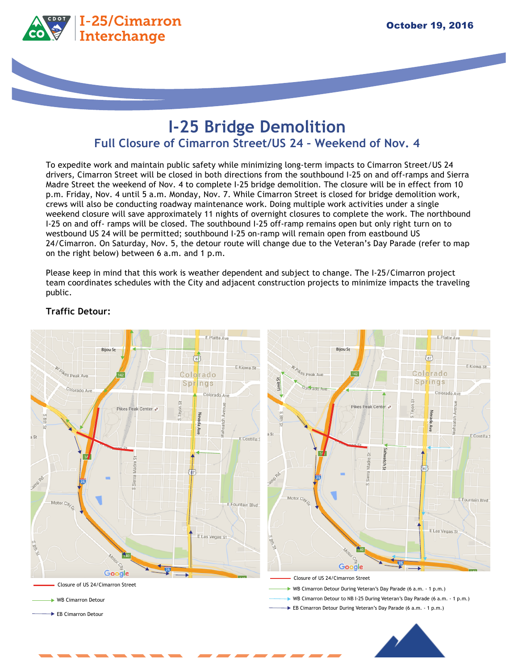

# **I-25 Bridge Demolition Full Closure of Cimarron Street/US 24 – Weekend of Nov. 4**

To expedite work and maintain public safety while minimizing long-term impacts to Cimarron Street/US 24 drivers, Cimarron Street will be closed in both directions from the southbound I-25 on and off-ramps and Sierra Madre Street the weekend of Nov. 4 to complete I-25 bridge demolition. The closure will be in effect from 10 p.m. Friday, Nov. 4 until 5 a.m. Monday, Nov. 7. While Cimarron Street is closed for bridge demolition work, crews will also be conducting roadway maintenance work. Doing multiple work activities under a single weekend closure will save approximately 11 nights of overnight closures to complete the work. The northbound I-25 on and off- ramps will be closed. The southbound I-25 off-ramp remains open but only right turn on to westbound US 24 will be permitted; southbound I-25 on-ramp will remain open from eastbound US 24/Cimarron. On Saturday, Nov. 5, the detour route will change due to the Veteran's Day Parade (refer to map on the right below) between 6 a.m. and 1 p.m.

Please keep in mind that this work is weather dependent and subject to change. The I-25/Cimarron project team coordinates schedules with the City and adjacent construction projects to minimize impacts the traveling public.



## **Traffic Detour:**